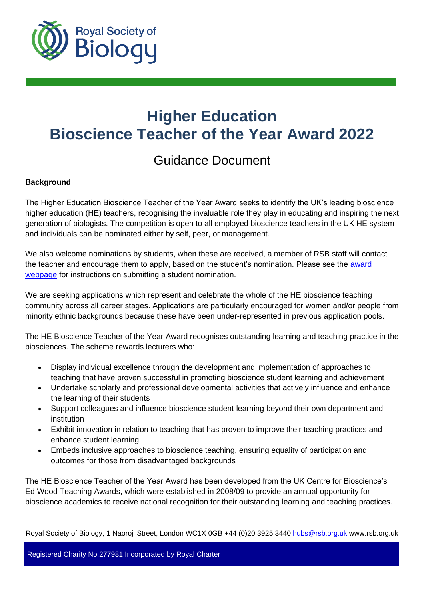

# **Higher Education Bioscience Teacher of the Year Award 2022**

# Guidance Document

# **Background**

The Higher Education Bioscience Teacher of the Year Award seeks to identify the UK's leading bioscience higher education (HE) teachers, recognising the invaluable role they play in educating and inspiring the next generation of biologists. The competition is open to all employed bioscience teachers in the UK HE system and individuals can be nominated either by self, peer, or management.

We also welcome nominations by students, when these are received, a member of RSB staff will contact the teacher and encourage them to apply, based on the student's nomination. Please see the [award](https://www.rsb.org.uk/get-involved/rsb-awards/he-teacher-of-the-year)  [webpage](https://www.rsb.org.uk/get-involved/rsb-awards/he-teacher-of-the-year) for instructions on submitting a student nomination.

We are seeking applications which represent and celebrate the whole of the HE bioscience teaching community across all career stages. Applications are particularly encouraged for women and/or people from minority ethnic backgrounds because these have been under-represented in previous application pools.

The HE Bioscience Teacher of the Year Award recognises outstanding learning and teaching practice in the biosciences. The scheme rewards lecturers who:

- Display individual excellence through the development and implementation of approaches to teaching that have proven successful in promoting bioscience student learning and achievement
- Undertake scholarly and professional developmental activities that actively influence and enhance the learning of their students
- Support colleagues and influence bioscience student learning beyond their own department and institution
- Exhibit innovation in relation to teaching that has proven to improve their teaching practices and enhance student learning
- Embeds inclusive approaches to bioscience teaching, ensuring equality of participation and outcomes for those from disadvantaged backgrounds

The HE Bioscience Teacher of the Year Award has been developed from the UK Centre for Bioscience's Ed Wood Teaching Awards, which were established in 2008/09 to provide an annual opportunity for bioscience academics to receive national recognition for their outstanding learning and teaching practices.

Royal Society of Biology, 1 Naoroji Street, London WC1X 0GB +44 (0)20 3925 3440 [hubs@rsb.org.uk](mailto:hubs@rsb.org.uk) www.rsb.org.uk

Registered Charity No.277981 Incorporated by Royal Charter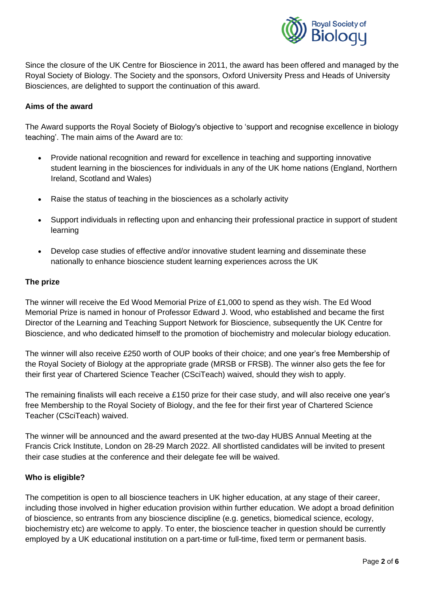

Since the closure of the UK Centre for Bioscience in 2011, the award has been offered and managed by the Royal Society of Biology. The Society and the sponsors, Oxford University Press and Heads of University Biosciences, are delighted to support the continuation of this award.

#### **Aims of the award**

The Award supports the Royal Society of Biology's objective to 'support and recognise excellence in biology teaching'. The main aims of the Award are to:

- Provide national recognition and reward for excellence in teaching and supporting innovative student learning in the biosciences for individuals in any of the UK home nations (England, Northern Ireland, Scotland and Wales)
- Raise the status of teaching in the biosciences as a scholarly activity
- Support individuals in reflecting upon and enhancing their professional practice in support of student learning
- Develop case studies of effective and/or innovative student learning and disseminate these nationally to enhance bioscience student learning experiences across the UK

#### **The prize**

The winner will receive the Ed Wood Memorial Prize of £1,000 to spend as they wish. The Ed Wood Memorial Prize is named in honour of Professor Edward J. Wood, who established and became the first Director of the Learning and Teaching Support Network for Bioscience, subsequently the UK Centre for Bioscience, and who dedicated himself to the promotion of biochemistry and molecular biology education.

The winner will also receive £250 worth of OUP books of their choice; and one year's free Membership of the Royal Society of Biology at the appropriate grade (MRSB or FRSB). The winner also gets the fee for their first year of Chartered Science Teacher (CSciTeach) waived, should they wish to apply.

The remaining finalists will each receive a £150 prize for their case study, and will also receive one year's free Membership to the Royal Society of Biology, and the fee for their first year of Chartered Science Teacher (CSciTeach) waived.

The winner will be announced and the award presented at the two-day HUBS Annual Meeting at the Francis Crick Institute, London on 28-29 March 2022. All shortlisted candidates will be invited to present their case studies at the conference and their delegate fee will be waived.

#### **Who is eligible?**

The competition is open to all bioscience teachers in UK higher education, at any stage of their career, including those involved in higher education provision within further education. We adopt a broad definition of bioscience, so entrants from any bioscience discipline (e.g. genetics, biomedical science, ecology, biochemistry etc) are welcome to apply. To enter, the bioscience teacher in question should be currently employed by a UK educational institution on a part-time or full-time, fixed term or permanent basis.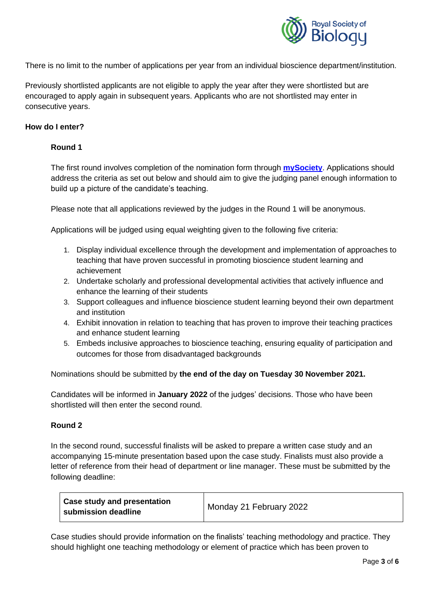

There is no limit to the number of applications per year from an individual bioscience department/institution.

Previously shortlisted applicants are not eligible to apply the year after they were shortlisted but are encouraged to apply again in subsequent years. Applicants who are not shortlisted may enter in consecutive years.

### **How do I enter?**

# **Round 1**

The first round involves completion of the nomination form through **[mySociety](https://my.rsb.org.uk/services.php?section=grants&grantid=55)**. Applications should address the criteria as set out below and should aim to give the judging panel enough information to build up a picture of the candidate's teaching.

Please note that all applications reviewed by the judges in the Round 1 will be anonymous.

Applications will be judged using equal weighting given to the following five criteria:

- 1. Display individual excellence through the development and implementation of approaches to teaching that have proven successful in promoting bioscience student learning and achievement
- 2. Undertake scholarly and professional developmental activities that actively influence and enhance the learning of their students
- 3. Support colleagues and influence bioscience student learning beyond their own department and institution
- 4. Exhibit innovation in relation to teaching that has proven to improve their teaching practices and enhance student learning
- 5. Embeds inclusive approaches to bioscience teaching, ensuring equality of participation and outcomes for those from disadvantaged backgrounds

Nominations should be submitted by **the end of the day on Tuesday 30 November 2021.** 

Candidates will be informed in **January 2022** of the judges' decisions. Those who have been shortlisted will then enter the second round.

#### **Round 2**

In the second round, successful finalists will be asked to prepare a written case study and an accompanying 15-minute presentation based upon the case study. Finalists must also provide a letter of reference from their head of department or line manager. These must be submitted by the following deadline:

| <b>Case study and presentation</b><br>submission deadline | Monday 21 February 2022 |
|-----------------------------------------------------------|-------------------------|
|-----------------------------------------------------------|-------------------------|

Case studies should provide information on the finalists' teaching methodology and practice. They should highlight one teaching methodology or element of practice which has been proven to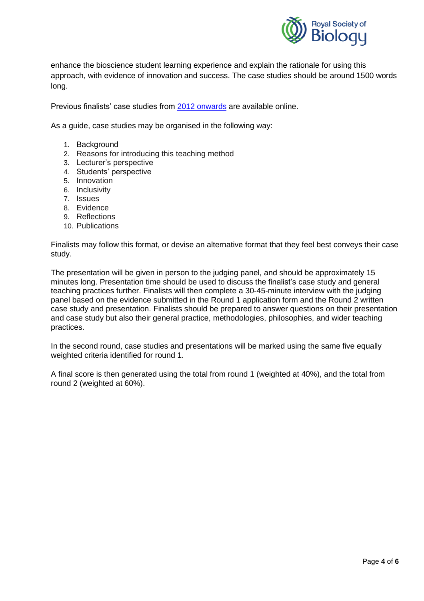

enhance the bioscience student learning experience and explain the rationale for using this approach, with evidence of innovation and success. The case studies should be around 1500 words long.

Previous finalists' case studies from [2012 onwards](https://www.rsb.org.uk/get-involved/rsb-awards/he-teacher-of-the-year/previous-finalists) are available online.

As a guide, case studies may be organised in the following way:

- 1. Background
- 2. Reasons for introducing this teaching method
- 3. Lecturer's perspective
- 4. Students' perspective
- 5. Innovation
- 6. Inclusivity
- 7. Issues
- 8. Evidence
- 9. Reflections
- 10. Publications

Finalists may follow this format, or devise an alternative format that they feel best conveys their case study.

The presentation will be given in person to the judging panel, and should be approximately 15 minutes long. Presentation time should be used to discuss the finalist's case study and general teaching practices further. Finalists will then complete a 30-45-minute interview with the judging panel based on the evidence submitted in the Round 1 application form and the Round 2 written case study and presentation. Finalists should be prepared to answer questions on their presentation and case study but also their general practice, methodologies, philosophies, and wider teaching practices.

In the second round, case studies and presentations will be marked using the same five equally weighted criteria identified for round 1.

A final score is then generated using the total from round 1 (weighted at 40%), and the total from round 2 (weighted at 60%).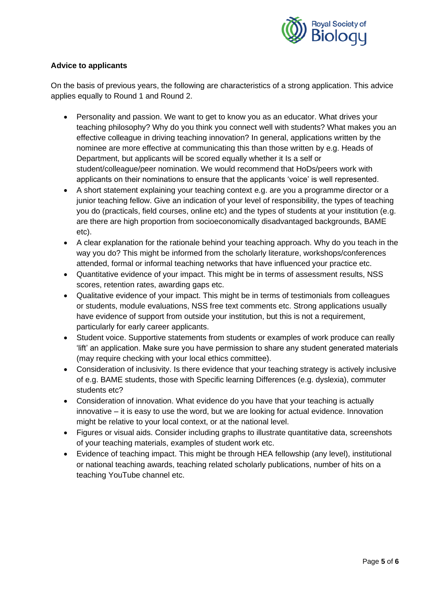

# **Advice to applicants**

On the basis of previous years, the following are characteristics of a strong application. This advice applies equally to Round 1 and Round 2.

- Personality and passion. We want to get to know you as an educator. What drives your teaching philosophy? Why do you think you connect well with students? What makes you an effective colleague in driving teaching innovation? In general, applications written by the nominee are more effective at communicating this than those written by e.g. Heads of Department, but applicants will be scored equally whether it Is a self or student/colleague/peer nomination. We would recommend that HoDs/peers work with applicants on their nominations to ensure that the applicants 'voice' is well represented.
- A short statement explaining your teaching context e.g. are you a programme director or a junior teaching fellow. Give an indication of your level of responsibility, the types of teaching you do (practicals, field courses, online etc) and the types of students at your institution (e.g. are there are high proportion from socioeconomically disadvantaged backgrounds, BAME etc).
- A clear explanation for the rationale behind your teaching approach. Why do you teach in the way you do? This might be informed from the scholarly literature, workshops/conferences attended, formal or informal teaching networks that have influenced your practice etc.
- Quantitative evidence of your impact. This might be in terms of assessment results, NSS scores, retention rates, awarding gaps etc.
- Qualitative evidence of your impact. This might be in terms of testimonials from colleagues or students, module evaluations, NSS free text comments etc. Strong applications usually have evidence of support from outside your institution, but this is not a requirement, particularly for early career applicants.
- Student voice. Supportive statements from students or examples of work produce can really 'lift' an application. Make sure you have permission to share any student generated materials (may require checking with your local ethics committee).
- Consideration of inclusivity. Is there evidence that your teaching strategy is actively inclusive of e.g. BAME students, those with Specific learning Differences (e.g. dyslexia), commuter students etc?
- Consideration of innovation. What evidence do you have that your teaching is actually innovative – it is easy to use the word, but we are looking for actual evidence. Innovation might be relative to your local context, or at the national level.
- Figures or visual aids. Consider including graphs to illustrate quantitative data, screenshots of your teaching materials, examples of student work etc.
- Evidence of teaching impact. This might be through HEA fellowship (any level), institutional or national teaching awards, teaching related scholarly publications, number of hits on a teaching YouTube channel etc.